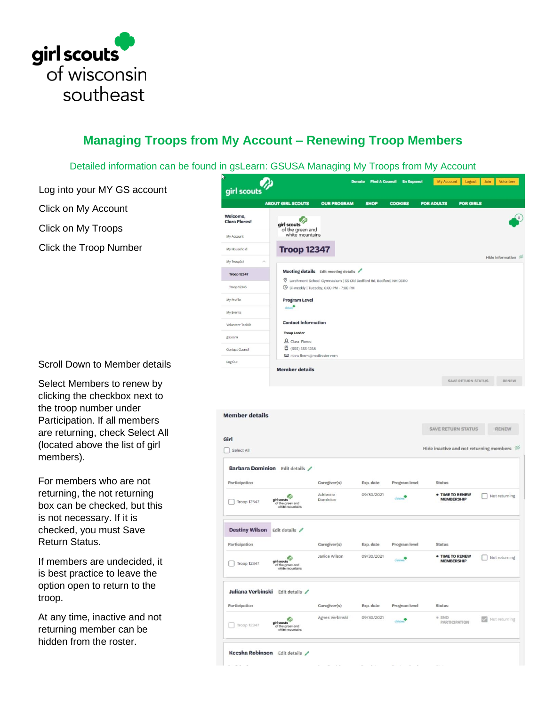

## **Managing Troops from My Account – Renewing Troop Members**

Detailed information can be found in gsLearn: GSUSA Managing My Troops from My Account

Log into your MY GS account Click on My Account

Click on My Troops

Click the Troop Number



Scroll Down to Member details

Select Members to renew by clicking the checkbox next to the troop number under Participation. If all members are returning, check Select All (located above the list of girl members).

For members who are not returning, the not returning box can be checked, but this is not necessary. If it is checked, you must Save Return Status.

If members are undecided, it is best practice to leave the option open to return to the troop.

At any time, inactive and not returning member can be hidden from the roster.